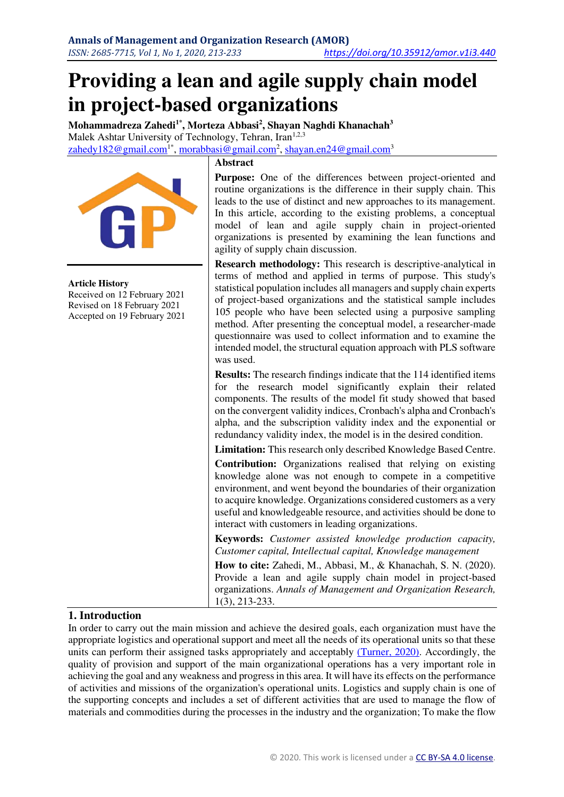# **Providing a lean and agile supply chain model in project-based organizations**

**Mohammadreza Zahedi1\*, Morteza Abbasi<sup>2</sup> , Shayan Naghdi Khanachah<sup>3</sup>** Malek Ashtar University of Technology, Tehran, Iran<sup>1,2,3</sup> <u>[zahedy182@gmail.com](mailto:zahedy182@gmail.com1*)I\*, [morabbasi@gmail.com](mailto:morabbasi@gmail.com)<sup>2</sup>[, shayan.en24@gmail.com](mailto:shayan.en24@gmail.com)3</u>



#### **Article History**

Received on 12 February 2021 Revised on 18 February 2021 Accepted on 19 February 2021

#### **Abstract**

Purpose: One of the differences between project-oriented and routine organizations is the difference in their supply chain. This leads to the use of distinct and new approaches to its management. In this article, according to the existing problems, a conceptual model of lean and agile supply chain in project-oriented organizations is presented by examining the lean functions and agility of supply chain discussion.

**Research methodology:** This research is descriptive-analytical in terms of method and applied in terms of purpose. This study's statistical population includes all managers and supply chain experts of project-based organizations and the statistical sample includes 105 people who have been selected using a purposive sampling method. After presenting the conceptual model, a researcher-made questionnaire was used to collect information and to examine the intended model, the structural equation approach with PLS software was used.

**Results:** The research findings indicate that the 114 identified items for the research model significantly explain their related components. The results of the model fit study showed that based on the convergent validity indices, Cronbach's alpha and Cronbach's alpha, and the subscription validity index and the exponential or redundancy validity index, the model is in the desired condition.

**Limitation:** This research only described Knowledge Based Centre.

**Contribution:** Organizations realised that relying on existing knowledge alone was not enough to compete in a competitive environment, and went beyond the boundaries of their organization to acquire knowledge. Organizations considered customers as a very useful and knowledgeable resource, and activities should be done to interact with customers in leading organizations.

**Keywords:** *Customer assisted knowledge production capacity, Customer capital, Intellectual capital, Knowledge management* 

**How to cite:** Zahedi, M., Abbasi, M., & Khanachah, S. N. (2020). Provide a lean and agile supply chain model in project-based organizations. *Annals of Management and Organization Research,*  1(3), 213-233.

## **1. Introduction**

In order to carry out the main mission and achieve the desired goals, each organization must have the appropriate logistics and operational support and meet all the needs of its operational units so that these units can perform their assigned tasks appropriately and acceptably [\(Turner, 2020\).](#page-20-0) Accordingly, the quality of provision and support of the main organizational operations has a very important role in achieving the goal and any weakness and progress in this area. It will have its effects on the performance of activities and missions of the organization's operational units. Logistics and supply chain is one of the supporting concepts and includes a set of different activities that are used to manage the flow of materials and commodities during the processes in the industry and the organization; To make the flow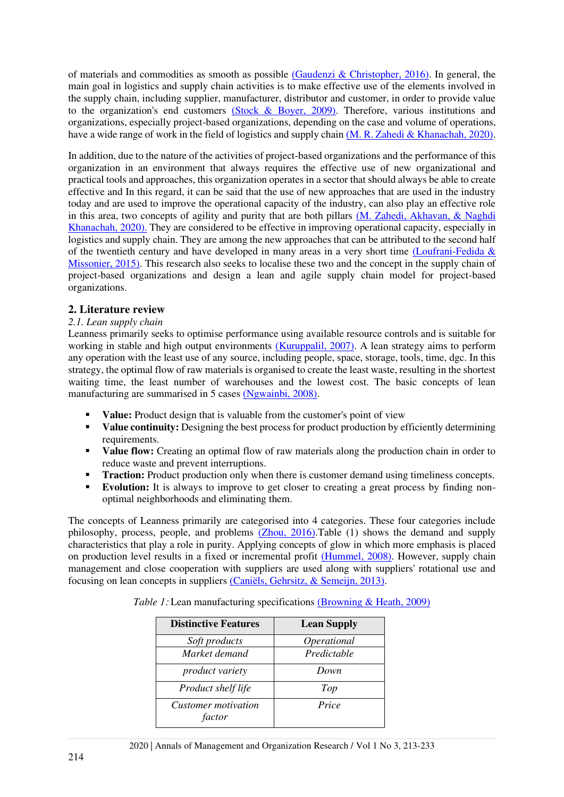of materials and commodities as smooth as possible [\(Gaudenzi & Christopher, 2016\).](#page-18-0) In general, the main goal in logistics and supply chain activities is to make effective use of the elements involved in the supply chain, including supplier, manufacturer, distributor and customer, in order to provide value to the organization's end customers [\(Stock & Boyer, 2009\).](#page-19-0) Therefore, various institutions and organizations, especially project-based organizations, depending on the case and volume of operations, have a wide range of work in the field of logistics and supply chain [\(M. R. Zahedi & Khanachah, 2020\).](#page-20-1)

In addition, due to the nature of the activities of project-based organizations and the performance of this organization in an environment that always requires the effective use of new organizational and practical tools and approaches, this organization operates in a sector that should always be able to create effective and In this regard, it can be said that the use of new approaches that are used in the industry today and are used to improve the operational capacity of the industry, can also play an effective role in this area, two concepts of agility and purity that are both pillars  $(M, Zahedi, Akhavan, & Naghdi)$ Khanachah, 2020). They are considered to be effective in improving operational capacity, especially in logistics and supply chain. They are among the new approaches that can be attributed to the second half of the twentieth century and have developed in many areas in a very short time  $(Loufrani-Fedida &$ Missonier, 2015). This research also seeks to localise these two and the concept in the supply chain of project-based organizations and design a lean and agile supply chain model for project-based organizations.

## **2. Literature review**

## *2.1. Lean supply chain*

Leanness primarily seeks to optimise performance using available resource controls and is suitable for working in stable and high output environments [\(Kuruppalil, 2007\).](#page-19-2) A lean strategy aims to perform any operation with the least use of any source, including people, space, storage, tools, time, dgc. In this strategy, the optimal flow of raw materials is organised to create the least waste, resulting in the shortest waiting time, the least number of warehouses and the lowest cost. The basic concepts of lean manufacturing are summarised in 5 cases [\(Ngwainbi, 2008\).](#page-19-3)

- **Value:** Product design that is valuable from the customer's point of view
- **Value continuity:** Designing the best process for product production by efficiently determining requirements.
- **Value flow:** Creating an optimal flow of raw materials along the production chain in order to reduce waste and prevent interruptions.
- **Traction:** Product production only when there is customer demand using timeliness concepts.
- **Evolution:** It is always to improve to get closer to creating a great process by finding nonoptimal neighborhoods and eliminating them.

The concepts of Leanness primarily are categorised into 4 categories. These four categories include philosophy, process, people, and problems  $(Zhou, 2016)$ . Table (1) shows the demand and supply characteristics that play a role in purity. Applying concepts of glow in which more emphasis is placed on production level results in a fixed or incremental profit [\(Hummel, 2008\).](#page-19-4) However, supply chain management and close cooperation with suppliers are used along with suppliers' rotational use and focusing on lean concepts in suppliers [\(Caniëls, Gehrsitz, & Semeijn, 2013\).](#page-18-1)

| <b>Distinctive Features</b>   | <b>Lean Supply</b> |
|-------------------------------|--------------------|
| Soft products                 | Operational        |
| Market demand                 | Predictable        |
| product variety               | Down               |
| Product shelf life            | Top                |
| Customer motivation<br>factor | Price              |

*Table 1:* Lean manufacturing specifications [\(Browning & Heath, 2009\)](#page-18-2)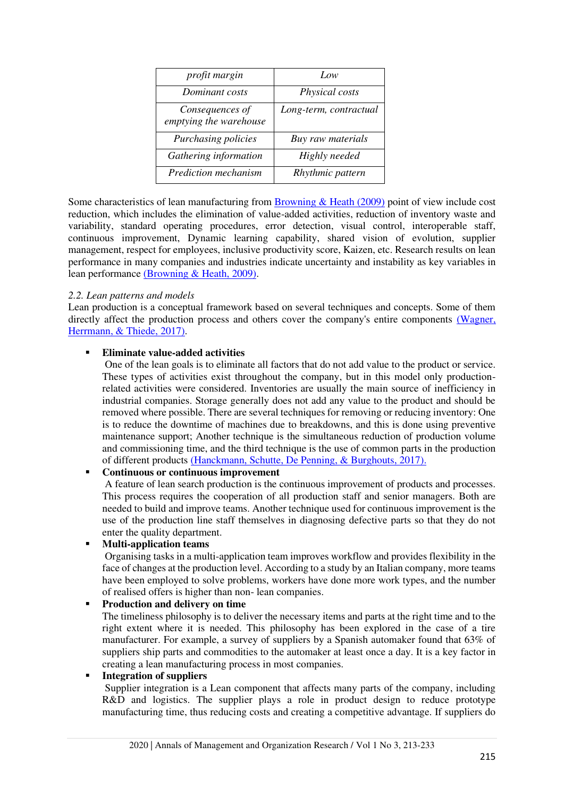| profit margin                             | Low                    |
|-------------------------------------------|------------------------|
| Dominant costs                            | Physical costs         |
| Consequences of<br>emptying the warehouse | Long-term, contractual |
| Purchasing policies                       | Buy raw materials      |
| Gathering information                     | Highly needed          |
| Prediction mechanism                      | Rhythmic pattern       |

Some characteristics of lean manufacturing from [Browning & Heath \(2009\)](#page-18-2) point of view include cost reduction, which includes the elimination of value-added activities, reduction of inventory waste and variability, standard operating procedures, error detection, visual control, interoperable staff, continuous improvement, Dynamic learning capability, shared vision of evolution, supplier management, respect for employees, inclusive productivity score, Kaizen, etc. Research results on lean performance in many companies and industries indicate uncertainty and instability as key variables in lean performance [\(Browning & Heath, 2009\).](#page-18-2)

## *2.2. Lean patterns and models*

Lean production is a conceptual framework based on several techniques and concepts. Some of them directly affect the production process and others cover the company's entire components (Wagner, Herrmann, & Thiede, 2017).

## ▪ **Eliminate value-added activities**

 One of the lean goals is to eliminate all factors that do not add value to the product or service. These types of activities exist throughout the company, but in this model only productionrelated activities were considered. Inventories are usually the main source of inefficiency in industrial companies. Storage generally does not add any value to the product and should be removed where possible. There are several techniques for removing or reducing inventory: One is to reduce the downtime of machines due to breakdowns, and this is done using preventive maintenance support; Another technique is the simultaneous reduction of production volume and commissioning time, and the third technique is the use of common parts in the production of different products [\(Hanckmann, Schutte, De Penning, & Burghouts, 2017\).](#page-19-5)

## ▪ **Continuous or continuous improvement**

 A feature of lean search production is the continuous improvement of products and processes. This process requires the cooperation of all production staff and senior managers. Both are needed to build and improve teams. Another technique used for continuous improvement is the use of the production line staff themselves in diagnosing defective parts so that they do not enter the quality department.

# ▪ **Multi-application teams**

 Organising tasks in a multi-application team improves workflow and provides flexibility in the face of changes at the production level. According to a study by an Italian company, more teams have been employed to solve problems, workers have done more work types, and the number of realised offers is higher than non- lean companies.

## ▪ **Production and delivery on time**

The timeliness philosophy is to deliver the necessary items and parts at the right time and to the right extent where it is needed. This philosophy has been explored in the case of a tire manufacturer. For example, a survey of suppliers by a Spanish automaker found that 63% of suppliers ship parts and commodities to the automaker at least once a day. It is a key factor in creating a lean manufacturing process in most companies.

## ▪ **Integration of suppliers**

 Supplier integration is a Lean component that affects many parts of the company, including R&D and logistics. The supplier plays a role in product design to reduce prototype manufacturing time, thus reducing costs and creating a competitive advantage. If suppliers do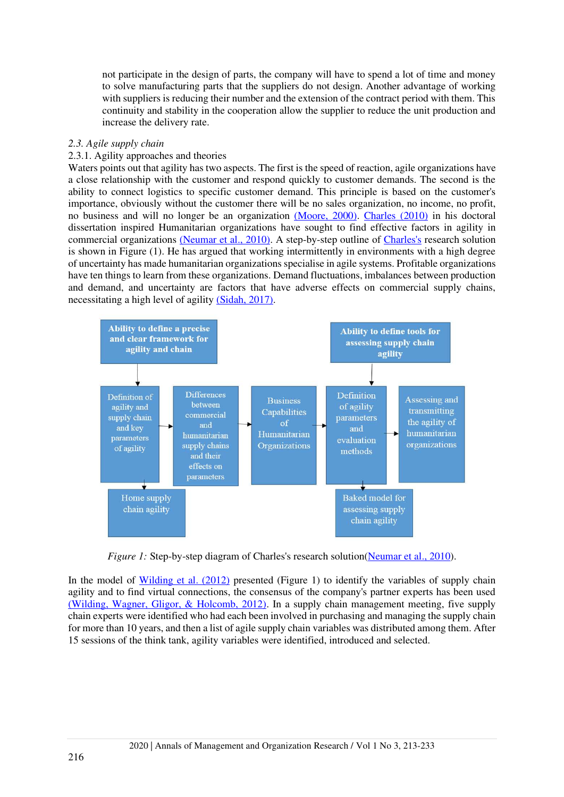not participate in the design of parts, the company will have to spend a lot of time and money to solve manufacturing parts that the suppliers do not design. Another advantage of working with suppliers is reducing their number and the extension of the contract period with them. This continuity and stability in the cooperation allow the supplier to reduce the unit production and increase the delivery rate.

#### *2.3. Agile supply chain*

#### 2.3.1. Agility approaches and theories

Waters points out that agility has two aspects. The first is the speed of reaction, agile organizations have a close relationship with the customer and respond quickly to customer demands. The second is the ability to connect logistics to specific customer demand. This principle is based on the customer's importance, obviously without the customer there will be no sales organization, no income, no profit, no business and will no longer be an organization [\(Moore, 2000\).](#page-19-6) [Charles \(2010\)](#page-18-3) in his doctoral dissertation inspired Humanitarian organizations have sought to find effective factors in agility in commercial organizations [\(Neumar et al., 2010\).](#page-19-7) A step-by-step outline of [Charles's](#page-18-3) research solution is shown in Figure (1). He has argued that working intermittently in environments with a high degree of uncertainty has made humanitarian organizations specialise in agile systems. Profitable organizations have ten things to learn from these organizations. Demand fluctuations, imbalances between production and demand, and uncertainty are factors that have adverse effects on commercial supply chains, necessitating a high level of agility [\(Sidah, 2017\).](#page-19-8)



*Figure 1:* Step-by-step diagram of Charles's research solution [\(Neumar et al., 2010\)](#page-19-7).

In the model of [Wilding et al. \(2012\)](#page-20-5) presented (Figure 1) to identify the variables of supply chain agility and to find virtual connections, the consensus of the company's partner experts has been used [\(Wilding, Wagner, Gligor, & Holcomb, 2012\).](#page-20-5) In a supply chain management meeting, five supply chain experts were identified who had each been involved in purchasing and managing the supply chain for more than 10 years, and then a list of agile supply chain variables was distributed among them. After 15 sessions of the think tank, agility variables were identified, introduced and selected.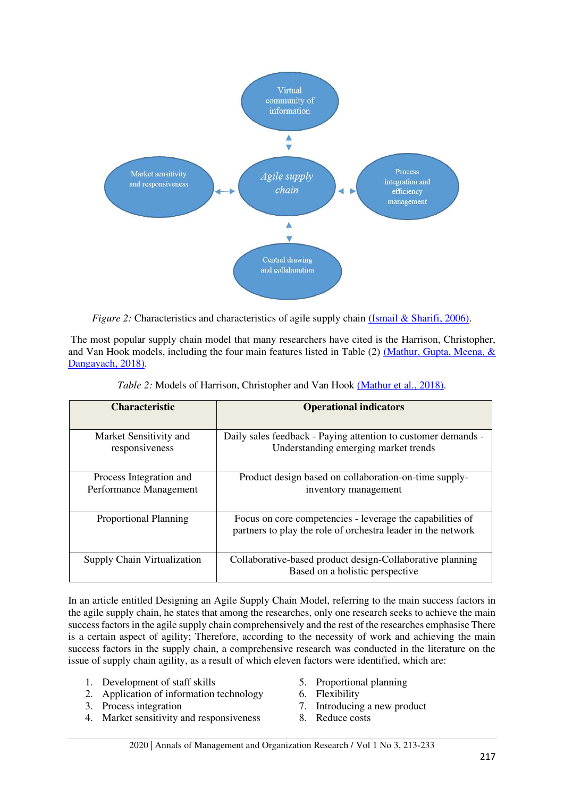

*Figure 2:* Characteristics and characteristics of agile supply chain [\(Ismail & Sharifi, 2006\)](#page-19-9).

 The most popular supply chain model that many researchers have cited is the Harrison, Christopher, and Van Hook models, including the four main features listed in Table (2) [\(Mathur, Gupta, Meena, &](#page-19-10)  Dangayach, 2018).

| <b>Characteristic</b>                             | <b>Operational indicators</b>                                                                                             |
|---------------------------------------------------|---------------------------------------------------------------------------------------------------------------------------|
| Market Sensitivity and<br>responsiveness          | Daily sales feedback - Paying attention to customer demands -<br>Understanding emerging market trends                     |
| Process Integration and<br>Performance Management | Product design based on collaboration-on-time supply-<br>inventory management                                             |
| <b>Proportional Planning</b>                      | Focus on core competencies - leverage the capabilities of<br>partners to play the role of orchestra leader in the network |
| Supply Chain Virtualization                       | Collaborative-based product design-Collaborative planning<br>Based on a holistic perspective                              |

| Table 2: Models of Harrison, Christopher and Van Hook (Mathur et al., 2018). |  |  |  |  |  |
|------------------------------------------------------------------------------|--|--|--|--|--|
|------------------------------------------------------------------------------|--|--|--|--|--|

In an article entitled Designing an Agile Supply Chain Model, referring to the main success factors in the agile supply chain, he states that among the researches, only one research seeks to achieve the main success factors in the agile supply chain comprehensively and the rest of the researches emphasise There is a certain aspect of agility; Therefore, according to the necessity of work and achieving the main success factors in the supply chain, a comprehensive research was conducted in the literature on the issue of supply chain agility, as a result of which eleven factors were identified, which are:

- 1. Development of staff skills
- 2. Application of information technology
- 3. Process integration
- 4. Market sensitivity and responsiveness
- 5. Proportional planning
- 6. Flexibility
- 7. Introducing a new product
- 8. Reduce costs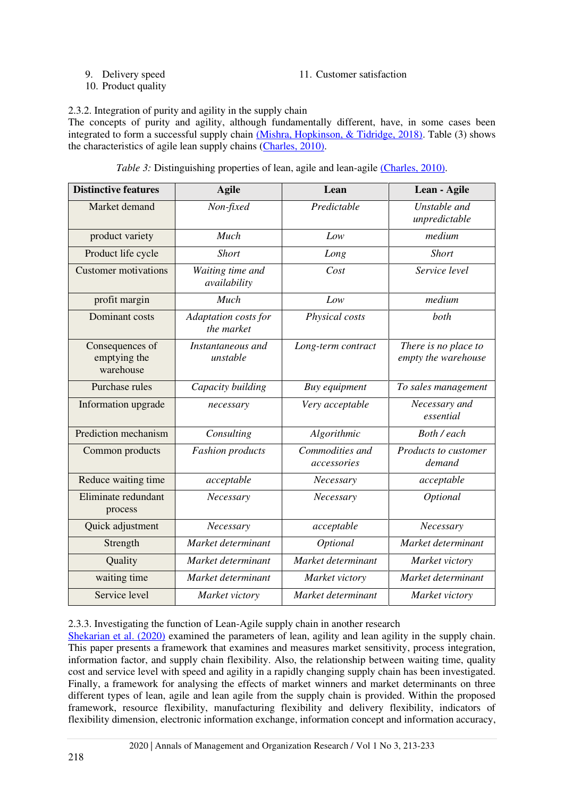9. Delivery speed

11. Customer satisfaction

10. Product quality

2.3.2. Integration of purity and agility in the supply chain

The concepts of purity and agility, although fundamentally different, have, in some cases been integrated to form a successful supply chain [\(Mishra, Hopkinson, & Tidridge, 2018\).](#page-19-11) Table (3) shows the characteristics of agile lean supply chains [\(Charles, 2010\)](#page-18-3) .

|  |  | Table 3: Distinguishing properties of lean, agile and lean-agile (Charles, 2010). |  |  |  |
|--|--|-----------------------------------------------------------------------------------|--|--|--|
|--|--|-----------------------------------------------------------------------------------|--|--|--|

| <b>Distinctive features</b>                  | <b>Agile</b>                       | Lean                           | Lean - Agile                                |
|----------------------------------------------|------------------------------------|--------------------------------|---------------------------------------------|
| Market demand                                | Non-fixed                          | Predictable                    | Unstable and<br>unpredictable               |
| product variety                              | Much                               | Low                            | medium                                      |
| Product life cycle                           | <b>Short</b>                       | Long                           | <b>Short</b>                                |
| <b>Customer motivations</b>                  | Waiting time and<br>availability   | Cost                           | Service level                               |
| profit margin                                | Much                               | Low                            | medium                                      |
| Dominant costs                               | Adaptation costs for<br>the market | Physical costs                 | both                                        |
| Consequences of<br>emptying the<br>warehouse | Instantaneous and<br>unstable      | Long-term contract             | There is no place to<br>empty the warehouse |
| Purchase rules                               | Capacity building                  | Buy equipment                  | To sales management                         |
| Information upgrade                          | necessary                          | Very acceptable                | Necessary and<br>essential                  |
| Prediction mechanism                         | Consulting<br>Algorithmic          |                                | Both / each                                 |
| Common products                              | <b>Fashion</b> products            | Commodities and<br>accessories | Products to customer<br>demand              |
| Reduce waiting time                          | acceptable                         | Necessary                      | acceptable                                  |
| Eliminate redundant<br>process               | Necessary                          | Necessary                      | Optional                                    |
| Quick adjustment                             | Necessary                          | acceptable                     | Necessary                                   |
| Strength                                     | Market determinant                 | Optional                       | Market determinant                          |
| Quality                                      | Market determinant                 | Market determinant             | Market victory                              |
| waiting time                                 | Market determinant                 | Market victory                 | Market determinant                          |
| Service level                                | Market victory                     | Market determinant             | Market victory                              |

2.3.3. Investigating the function of Lean-Agile supply chain in another research

[Shekarian et al. \(2020\)](#page-19-12) examined the parameters of lean, agility and lean agility in the supply chain. This paper presents a framework that examines and measures market sensitivity, process integration, information factor, and supply chain flexibility. Also, the relationship between waiting time, quality cost and service level with speed and agility in a rapidly changing supply chain has been investigated. Finally, a framework for analysing the effects of market winners and market determinants on three different types of lean, agile and lean agile from the supply chain is provided. Within the proposed framework, resource flexibility, manufacturing flexibility and delivery flexibility, indicators of flexibility dimension, electronic information exchange, information concept and information accuracy,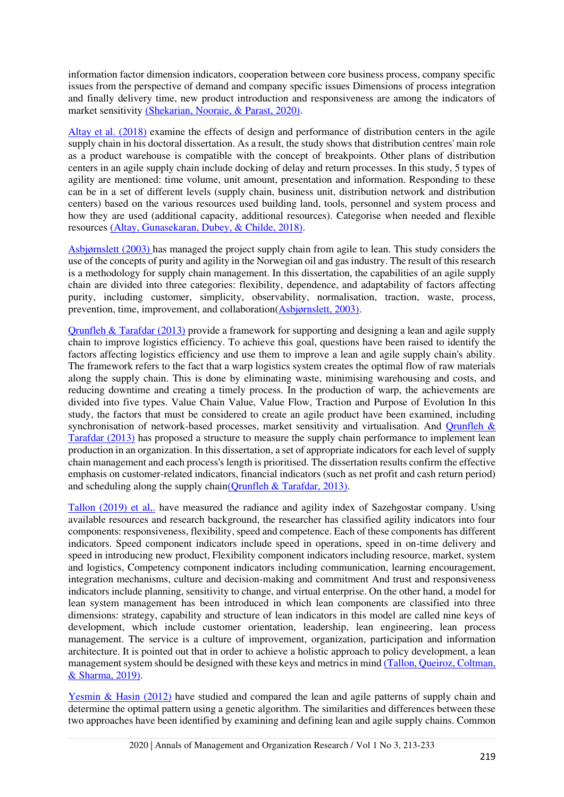information factor dimension indicators, cooperation between core business process, company specific issues from the perspective of demand and company specific issues Dimensions of process integration and finally delivery time, new product introduction and responsiveness are among the indicators of market sensitivity [\(Shekarian, Nooraie, & Parast, 2020\).](#page-19-12)

[Altay et al. \(2018\)](#page-18-4) examine the effects of design and performance of distribution centers in the agile supply chain in his doctoral dissertation. As a result, the study shows that distribution centres' main role as a product warehouse is compatible with the concept of breakpoints. Other plans of distribution centers in an agile supply chain include docking of delay and return processes. In this study, 5 types of agility are mentioned: time volume, unit amount, presentation and information. Responding to these can be in a set of different levels (supply chain, business unit, distribution network and distribution centers) based on the various resources used building land, tools, personnel and system process and how they are used (additional capacity, additional resources). Categorise when needed and flexible resources [\(Altay, Gunasekaran, Dubey, & Childe, 2018\).](#page-18-4)

[Asbjørnslett \(2003\)](#page-18-5) has managed the project supply chain from agile to lean. This study considers the use of the concepts of purity and agility in the Norwegian oil and gas industry. The result of this research is a methodology for supply chain management. In this dissertation, the capabilities of an agile supply chain are divided into three categories: flexibility, dependence, and adaptability of factors affecting purity, including customer, simplicity, observability, normalisation, traction, waste, process, prevention, time, improvement, and collaboration[\(Asbjørnslett, 2003\).](#page-18-5)

[Qrunfleh & Tarafdar \(2013\)](#page-19-13) provide a framework for supporting and designing a lean and agile supply chain to improve logistics efficiency. To achieve this goal, questions have been raised to identify the factors affecting logistics efficiency and use them to improve a lean and agile supply chain's ability. The framework refers to the fact that a warp logistics system creates the optimal flow of raw materials along the supply chain. This is done by eliminating waste, minimising warehousing and costs, and reducing downtime and creating a timely process. In the production of warp, the achievements are divided into five types. Value Chain Value, Value Flow, Traction and Purpose of Evolution In this study, the factors that must be considered to create an agile product have been examined, including synchronisation of network-based processes, market sensitivity and virtualisation. And Orunfleh & [Tarafdar \(2013\)](#page-19-13) has proposed a structure to measure the supply chain performance to implement lean production in an organization. In this dissertation, a set of appropriate indicators for each level of supply chain management and each process's length is prioritised. The dissertation results confirm the effective emphasis on customer-related indicators, financial indicators (such as net profit and cash return period) and scheduling along the supply chai[n\(Qrunfleh & Tarafdar, 2013\).](#page-19-13)

[Tallon \(2019\) et al,.](#page-20-6) have measured the radiance and agility index of Sazehgostar company. Using available resources and research background, the researcher has classified agility indicators into four components: responsiveness, flexibility, speed and competence. Each of these components has different indicators. Speed component indicators include speed in operations, speed in on-time delivery and speed in introducing new product, Flexibility component indicators including resource, market, system and logistics, Competency component indicators including communication, learning encouragement, integration mechanisms, culture and decision-making and commitment And trust and responsiveness indicators include planning, sensitivity to change, and virtual enterprise. On the other hand, a model for lean system management has been introduced in which lean components are classified into three dimensions: strategy, capability and structure of lean indicators in this model are called nine keys of development, which include customer orientation, leadership, lean engineering, lean process management. The service is a culture of improvement, organization, participation and information architecture. It is pointed out that in order to achieve a holistic approach to policy development, a lean management system should be designed with these keys and metrics in min[d \(Tallon, Queiroz, Coltman,](#page-20-6)  & Sharma, 2019) .

[Yesmin & Hasin \(2012\)](#page-20-7) have studied and compared the lean and agile patterns of supply chain and determine the optimal pattern using a genetic algorithm. The similarities and differences between these two approaches have been identified by examining and defining lean and agile supply chains. Common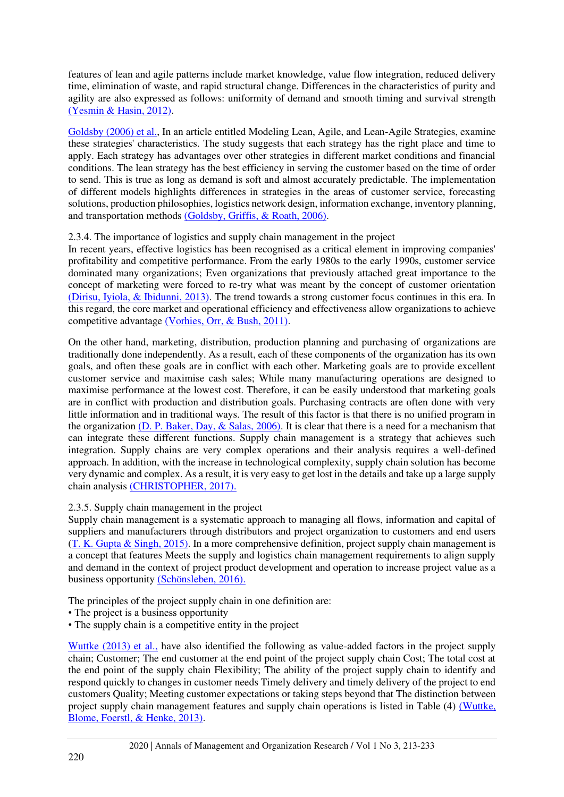features of lean and agile patterns include market knowledge, value flow integration, reduced delivery time, elimination of waste, and rapid structural change. Differences in the characteristics of purity and agility are also expressed as follows: uniformity of demand and smooth timing and survival strength [\(Yesmin & Hasin, 2012\).](#page-20-7)

[Goldsby \(2006\) et al.,](#page-18-6) In an article entitled Modeling Lean, Agile, and Lean-Agile Strategies, examine these strategies' characteristics. The study suggests that each strategy has the right place and time to apply. Each strategy has advantages over other strategies in different market conditions and financial conditions. The lean strategy has the best efficiency in serving the customer based on the time of order to send. This is true as long as demand is soft and almost accurately predictable. The implementation of different models highlights differences in strategies in the areas of customer service, forecasting solutions, production philosophies, logistics network design, information exchange, inventory planning, and transportation methods [\(Goldsby, Griffis, & Roath, 2006\).](#page-18-6)

2.3.4. The importance of logistics and supply chain management in the project

In recent years, effective logistics has been recognised as a critical element in improving companies' profitability and competitive performance. From the early 1980s to the early 1990s, customer service dominated many organizations; Even organizations that previously attached great importance to the concept of marketing were forced to re-try what was meant by the concept of customer orientation [\(Dirisu, Iyiola, & Ibidunni, 2013\).](#page-18-7) The trend towards a strong customer focus continues in this era. In this regard, the core market and operational efficiency and effectiveness allow organizations to achieve competitive advantage [\(Vorhies, Orr, & Bush, 2011\).](#page-20-8)

On the other hand, marketing, distribution, production planning and purchasing of organizations are traditionally done independently. As a result, each of these components of the organization has its own goals, and often these goals are in conflict with each other. Marketing goals are to provide excellent customer service and maximise cash sales; While many manufacturing operations are designed to maximise performance at the lowest cost. Therefore, it can be easily understood that marketing goals are in conflict with production and distribution goals. Purchasing contracts are often done with very little information and in traditional ways. The result of this factor is that there is no unified program in the organization  $(D. P. Baker, Day, & Salas, 2006)$ . It is clear that there is a need for a mechanism that can integrate these different functions. Supply chain management is a strategy that achieves such integration. Supply chains are very complex operations and their analysis requires a well-defined approach. In addition, with the increase in technological complexity, supply chain solution has become very dynamic and complex. As a result, it is very easy to get lost in the details and take up a large supply chain analysis [\(CHRISTOPHER, 2017\).](#page-18-9)

2.3.5. Supply chain management in the project

Supply chain management is a systematic approach to managing all flows, information and capital of suppliers and manufacturers through distributors and project organization to customers and end users [\(T. K. Gupta & Singh, 2015\).](#page-19-14) In a more comprehensive definition, project supply chain management is a concept that features Meets the supply and logistics chain management requirements to align supply and demand in the context of project product development and operation to increase project value as a business opportunity [\(Schönsleben, 2016\).](#page-19-15)

The principles of the project supply chain in one definition are:

- The project is a business opportunity
- The supply chain is a competitive entity in the project

[Wuttke \(2013\) et al.,](#page-20-9) have also identified the following as value-added factors in the project supply chain; Customer; The end customer at the end point of the project supply chain Cost; The total cost at the end point of the supply chain Flexibility; The ability of the project supply chain to identify and respond quickly to changes in customer needs Timely delivery and timely delivery of the project to end customers Quality; Meeting customer expectations or taking steps beyond that The distinction between project supply chain management features and supply chain operations is listed in Table (4) [\(Wuttke,](#page-20-9)  Blome, Foerstl, & Henke, 2013).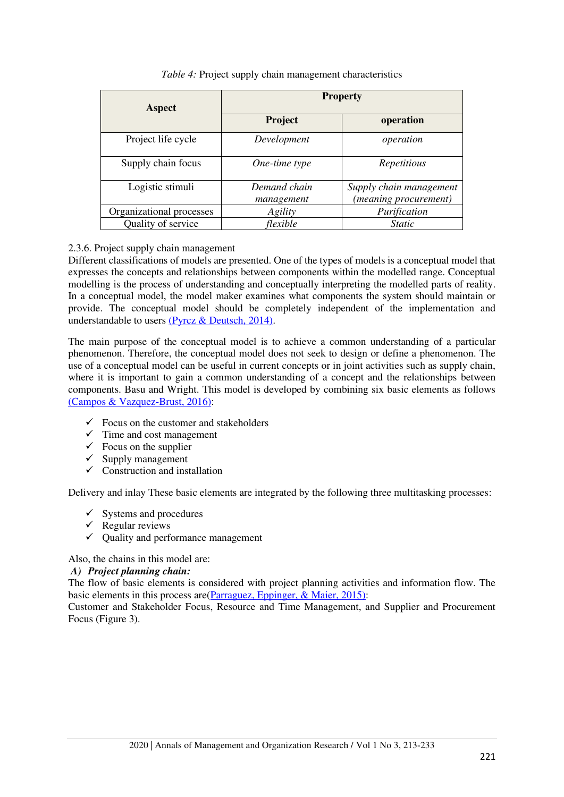| <b>Aspect</b>            | <b>Property</b>            |                                                  |  |  |
|--------------------------|----------------------------|--------------------------------------------------|--|--|
|                          | Project                    | operation                                        |  |  |
| Project life cycle       | Development                | operation                                        |  |  |
| Supply chain focus       | One-time type              | Repetitious                                      |  |  |
| Logistic stimuli         | Demand chain<br>management | Supply chain management<br>(meaning procurement) |  |  |
| Organizational processes | Agility                    | Purification                                     |  |  |
| Quality of service       | flexible                   | <i>Static</i>                                    |  |  |

## *Table 4:* Project supply chain management characteristics

## 2.3.6. Project supply chain management

Different classifications of models are presented. One of the types of models is a conceptual model that expresses the concepts and relationships between components within the modelled range. Conceptual modelling is the process of understanding and conceptually interpreting the modelled parts of reality. In a conceptual model, the model maker examines what components the system should maintain or provide. The conceptual model should be completely independent of the implementation and understandable to users [\(Pyrcz & Deutsch, 2014\).](#page-19-16)

The main purpose of the conceptual model is to achieve a common understanding of a particular phenomenon. Therefore, the conceptual model does not seek to design or define a phenomenon. The use of a conceptual model can be useful in current concepts or in joint activities such as supply chain, where it is important to gain a common understanding of a concept and the relationships between components. Basu and Wright. This model is developed by combining six basic elements as follows [\(Campos & Vazquez-Brust, 2016\):](#page-18-10)

- $\checkmark$  Focus on the customer and stakeholders
- $\checkmark$  Time and cost management
- $\checkmark$  Focus on the supplier
- $\checkmark$  Supply management
- $\checkmark$  Construction and installation

Delivery and inlay These basic elements are integrated by the following three multitasking processes:

- $\checkmark$  Systems and procedures
- $\checkmark$  Regular reviews
- $\checkmark$  Ouality and performance management

Also, the chains in this model are:

## *A) Project planning chain:*

The flow of basic elements is considered with project planning activities and information flow. The basic elements in this process are[\(Parraguez, Eppinger, & Maier, 2015\):](#page-19-17)

Customer and Stakeholder Focus, Resource and Time Management, and Supplier and Procurement Focus (Figure 3).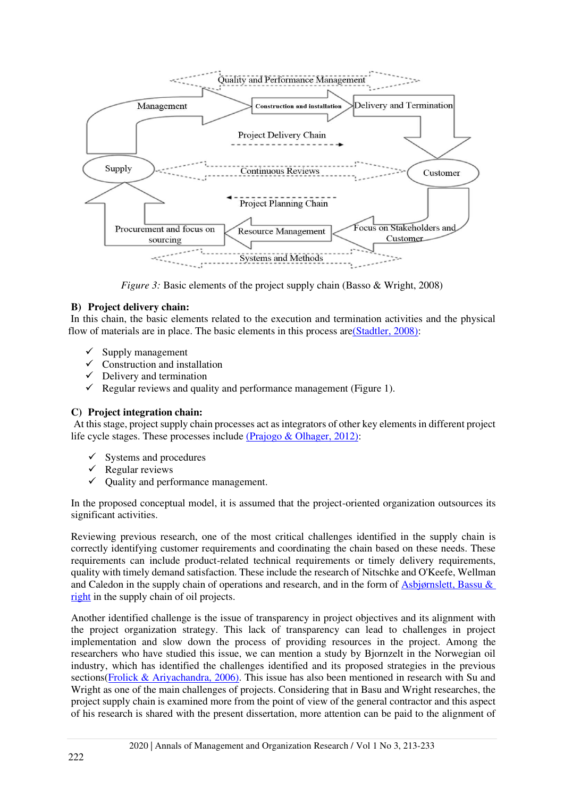

*Figure 3:* Basic elements of the project supply chain (Basso & Wright, 2008)

# **B) Project delivery chain:**

 In this chain, the basic elements related to the execution and termination activities and the physical flow of materials are in place. The basic elements in this process ar[e\(Stadtler, 2008\):](#page-19-18)

- $\checkmark$  Supply management
- $\checkmark$  Construction and installation
- $\checkmark$  Delivery and termination
- $\checkmark$  Regular reviews and quality and performance management (Figure 1).

## **C) Project integration chain:**

 At this stage, project supply chain processes act as integrators of other key elements in different project life cycle stages. These processes include [\(Prajogo & Olhager, 2012\):](#page-19-19)

- $\checkmark$  Systems and procedures
- $\checkmark$  Regular reviews
- $\checkmark$  Quality and performance management.

In the proposed conceptual model, it is assumed that the project-oriented organization outsources its significant activities.

Reviewing previous research, one of the most critical challenges identified in the supply chain is correctly identifying customer requirements and coordinating the chain based on these needs. These requirements can include product-related technical requirements or timely delivery requirements, quality with timely demand satisfaction. These include the research of Nitschke and O'Keefe, Wellman and Caledon in the supply chain of operations and research, and in the form of [Asbjørnslett, Bassu &](#page-18-5) [right](#page-18-5) in the supply chain of oil projects.

Another identified challenge is the issue of transparency in project objectives and its alignment with the project organization strategy. This lack of transparency can lead to challenges in project implementation and slow down the process of providing resources in the project. Among the researchers who have studied this issue, we can mention a study by Bjornzelt in the Norwegian oil industry, which has identified the challenges identified and its proposed strategies in the previous sections[\(Frolick & Ariyachandra, 2006\).](#page-18-11) This issue has also been mentioned in research with Su and Wright as one of the main challenges of projects. Considering that in Basu and Wright researches, the project supply chain is examined more from the point of view of the general contractor and this aspect of his research is shared with the present dissertation, more attention can be paid to the alignment of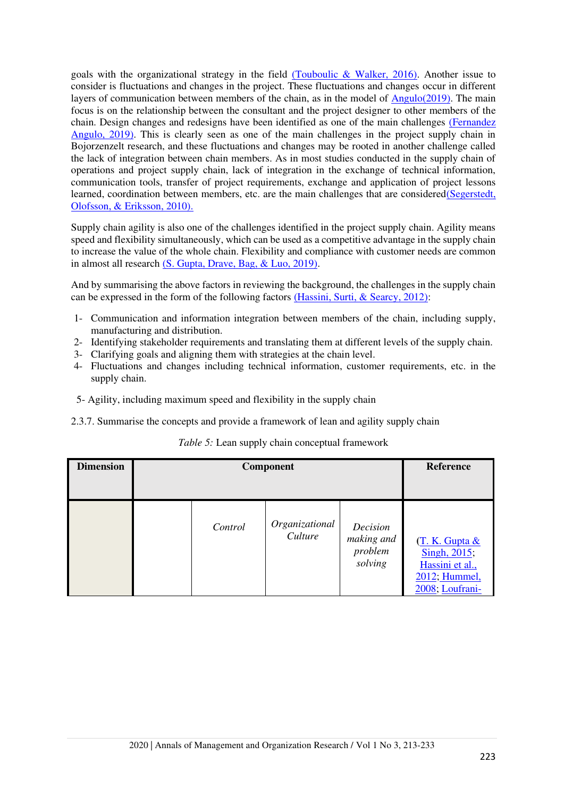goals with the organizational strategy in the field  $(Touboulic \& Walker, 2016)$ . Another issue to consider is fluctuations and changes in the project. These fluctuations and changes occur in different layers of communication between members of the chain, as in the model of  $\Delta$ ngulo(2019). The main focus is on the relationship between the consultant and the project designer to other members of the chain. Design changes and redesigns have been identified as one of the main challenges [\(Fernandez](#page-18-12)  Angulo, 2019). This is clearly seen as one of the main challenges in the project supply chain in Bojorzenzelt research, and these fluctuations and changes may be rooted in another challenge called the lack of integration between chain members. As in most studies conducted in the supply chain of operations and project supply chain, lack of integration in the exchange of technical information, communication tools, transfer of project requirements, exchange and application of project lessons learned, coordination between members, etc. are the main challenges that are considere[d\(Segerstedt,](#page-19-20)  Olofsson, & Eriksson, 2010).

Supply chain agility is also one of the challenges identified in the project supply chain. Agility means speed and flexibility simultaneously, which can be used as a competitive advantage in the supply chain to increase the value of the whole chain. Flexibility and compliance with customer needs are common in almost all research [\(S. Gupta, Drave, Bag, & Luo, 2019\).](#page-18-13)

And by summarising the above factors in reviewing the background, the challenges in the supply chain can be expressed in the form of the following factors [\(Hassini, Surti, & Searcy, 2012\):](#page-19-21)

- 1- Communication and information integration between members of the chain, including supply, manufacturing and distribution.
- 2- Identifying stakeholder requirements and translating them at different levels of the supply chain.
- 3- Clarifying goals and aligning them with strategies at the chain level.
- 4- Fluctuations and changes including technical information, customer requirements, etc. in the supply chain.
- 5- Agility, including maximum speed and flexibility in the supply chain
- 2.3.7. Summarise the concepts and provide a framework of lean and agility supply chain

| <i>Table 5:</i> Lean supply chain conceptual framework |  |  |
|--------------------------------------------------------|--|--|
|                                                        |  |  |

| <b>Dimension</b> | Component |         |                           | <b>Reference</b>                             |                                                                                       |
|------------------|-----------|---------|---------------------------|----------------------------------------------|---------------------------------------------------------------------------------------|
|                  |           | Control | Organizational<br>Culture | Decision<br>making and<br>problem<br>solving | (T. K. Gupta &<br>Singh, 2015;<br>Hassini et al.,<br>2012; Hummel,<br>2008; Loufrani- |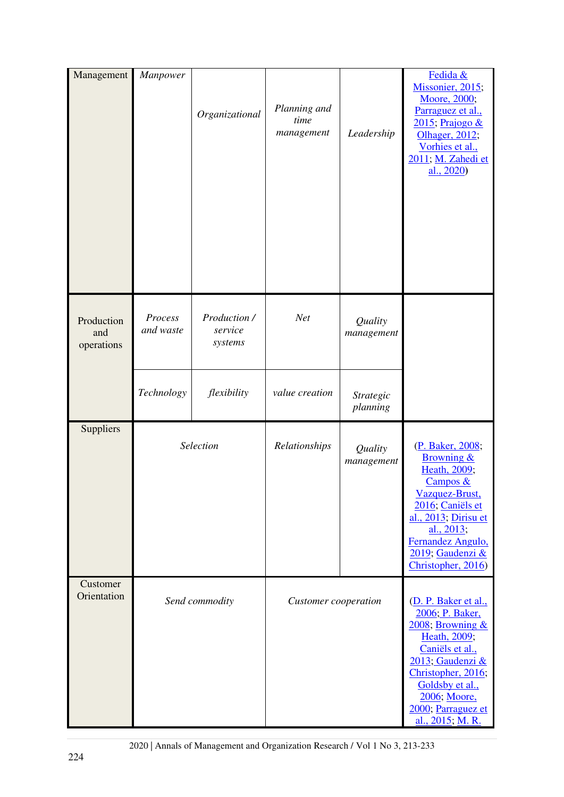| Management                      | Manpower             | Organizational                     | Planning and<br>time<br>management | Leadership                   | Fedida &<br>Missonier, 2015;<br>Moore, 2000;<br>Parraguez et al.,<br>$2015$ ; Prajogo &<br>Olhager, 2012;<br>Vorhies et al.,<br>2011; M. Zahedi et<br>al., 2020)                                                                  |
|---------------------------------|----------------------|------------------------------------|------------------------------------|------------------------------|-----------------------------------------------------------------------------------------------------------------------------------------------------------------------------------------------------------------------------------|
| Production<br>and<br>operations | Process<br>and waste | Production /<br>service<br>systems | <b>Net</b>                         | Quality<br>management        |                                                                                                                                                                                                                                   |
|                                 | Technology           | flexibility                        | value creation                     | <b>Strategic</b><br>planning |                                                                                                                                                                                                                                   |
| Suppliers                       |                      | Selection                          | Relationships                      | Quality<br>management        | (P. Baker, 2008;<br><b>Browning &amp;</b><br>Heath, 2009;<br>Campos &<br>Vazquez-Brust,<br>2016; Caniëls et<br>al., 2013; Dirisu et<br>al., 2013;<br>Fernandez Angulo,<br>2019; Gaudenzi &<br>Christopher, 2016)                  |
| Customer<br>Orientation         |                      | Send commodity                     | Customer cooperation               |                              | (D. P. Baker et al.,<br>2006; P. Baker,<br>$2008$ ; Browning $&$<br>Heath, 2009;<br>Caniëls et al.,<br>2013; Gaudenzi &<br>Christopher, 2016;<br>Goldsby et al.,<br>2006; Moore,<br>2000; Parraguez et<br><u>al., 2015; M. R.</u> |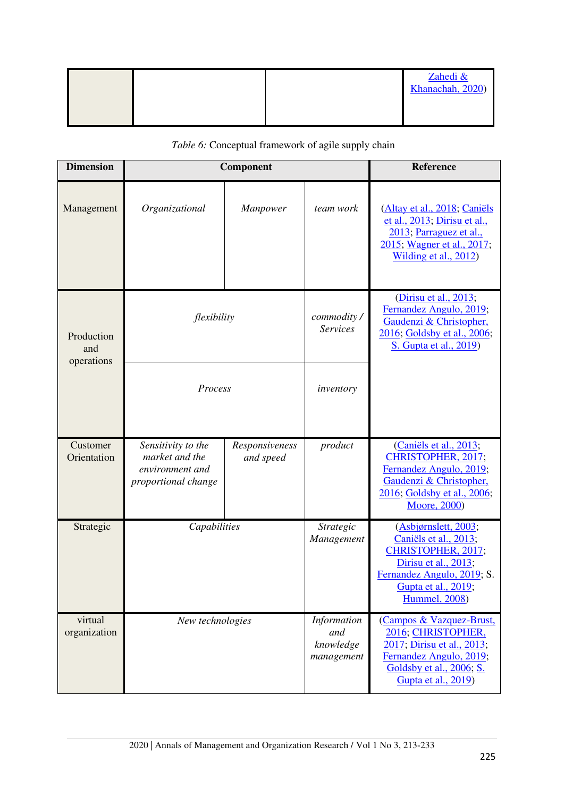|  |  | Zahedi &<br>Khanachah, 2020) |
|--|--|------------------------------|
|  |  |                              |

| <b>Dimension</b>        |                                                                                | Component                   |                                               | Reference                                                                                                                                                                 |
|-------------------------|--------------------------------------------------------------------------------|-----------------------------|-----------------------------------------------|---------------------------------------------------------------------------------------------------------------------------------------------------------------------------|
| Management              | Organizational                                                                 | Manpower                    | team work                                     | (Altay et al., 2018; Caniëls<br>et al., 2013; Dirisu et al.,<br>2013; Parraguez et al.,<br>2015; Wagner et al., 2017;<br>Wilding et al., 2012)                            |
| Production<br>and       | flexibility<br>operations<br>Process                                           |                             | commodity/<br><b>Services</b>                 | (Dirisu et al., 2013;<br>Fernandez Angulo, 2019;<br>Gaudenzi & Christopher,<br>2016; Goldsby et al., 2006;<br>S. Gupta et al., 2019)                                      |
|                         |                                                                                |                             | inventory                                     |                                                                                                                                                                           |
| Customer<br>Orientation | Sensitivity to the<br>market and the<br>environment and<br>proportional change | Responsiveness<br>and speed | product                                       | (Caniëls et al., 2013;<br>CHRISTOPHER, 2017;<br>Fernandez Angulo, 2019;<br>Gaudenzi & Christopher,<br>2016; Goldsby et al., 2006;<br>Moore, 2000)                         |
| Strategic               | Capabilities                                                                   |                             | Strategic<br>Management                       | (Asbjørnslett, 2003;<br>Caniëls et al., 2013;<br>CHRISTOPHER, 2017;<br>Dirisu et al., 2013;<br>Fernandez Angulo, 2019; S.<br>Gupta et al., 2019;<br><b>Hummel</b> , 2008) |
| virtual<br>organization | New technologies                                                               |                             | Information<br>and<br>knowledge<br>management | (Campos & Vazquez-Brust,<br>2016; CHRISTOPHER,<br>2017; Dirisu et al., 2013;<br>Fernandez Angulo, 2019;<br>Goldsby et al., 2006; S.<br>Gupta et al., 2019)                |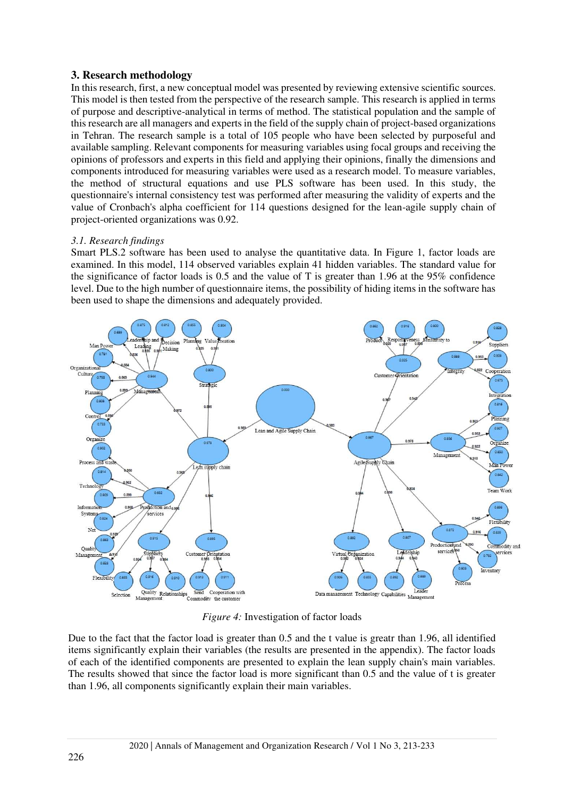# **3. Research methodology**

In this research, first, a new conceptual model was presented by reviewing extensive scientific sources. This model is then tested from the perspective of the research sample. This research is applied in terms of purpose and descriptive-analytical in terms of method. The statistical population and the sample of this research are all managers and experts in the field of the supply chain of project-based organizations in Tehran. The research sample is a total of 105 people who have been selected by purposeful and available sampling. Relevant components for measuring variables using focal groups and receiving the opinions of professors and experts in this field and applying their opinions, finally the dimensions and components introduced for measuring variables were used as a research model. To measure variables, the method of structural equations and use PLS software has been used. In this study, the questionnaire's internal consistency test was performed after measuring the validity of experts and the value of Cronbach's alpha coefficient for 114 questions designed for the lean-agile supply chain of project-oriented organizations was 0.92.

# *3.1. Research findings*

Smart PLS.2 software has been used to analyse the quantitative data. In Figure 1, factor loads are examined. In this model, 114 observed variables explain 41 hidden variables. The standard value for the significance of factor loads is 0.5 and the value of T is greater than 1.96 at the 95% confidence level. Due to the high number of questionnaire items, the possibility of hiding items in the software has been used to shape the dimensions and adequately provided.



*Figure 4:* Investigation of factor loads

Due to the fact that the factor load is greater than 0.5 and the t value is greatr than 1.96, all identified items significantly explain their variables (the results are presented in the appendix). The factor loads of each of the identified components are presented to explain the lean supply chain's main variables. The results showed that since the factor load is more significant than 0.5 and the value of t is greater than 1.96, all components significantly explain their main variables.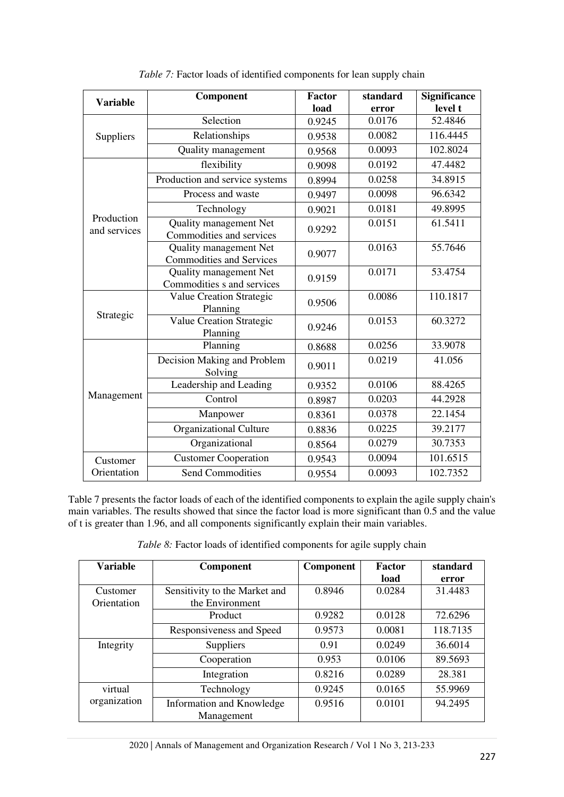| <b>Variable</b>            | Component                                                 | <b>Factor</b>    | standard | <b>Significance</b> |
|----------------------------|-----------------------------------------------------------|------------------|----------|---------------------|
|                            |                                                           | load             | error    | level t             |
|                            | Selection                                                 | 0.9245           | 0.0176   | 52.4846             |
| Suppliers                  | Relationships                                             | 0.9538           | 0.0082   | 116.4445            |
|                            | Quality management                                        | 0.9568           | 0.0093   | 102.8024            |
|                            | flexibility                                               | 0.0192<br>0.9098 |          | 47.4482             |
|                            | Production and service systems                            | 0.8994           | 0.0258   | 34.8915             |
|                            | Process and waste                                         | 0.9497           | 0.0098   | 96.6342             |
|                            | Technology                                                | 0.9021           | 0.0181   | 49.8995             |
| Production<br>and services | <b>Quality management Net</b><br>Commodities and services | 0.9292           | 0.0151   | 61.5411             |
|                            | Quality management Net<br><b>Commodities and Services</b> | 0.9077           | 0.0163   | 55.7646             |
|                            | Quality management Net<br>Commodities s and services      | 0.9159           | 0.0171   | 53.4754             |
| Strategic                  | Value Creation Strategic<br>Planning                      | 0.9506           | 0.0086   | 110.1817            |
|                            | Value Creation Strategic<br>Planning                      | 0.9246           | 0.0153   | 60.3272             |
|                            | Planning                                                  | 0.8688           | 0.0256   | 33.9078             |
| Management                 | Decision Making and Problem<br>Solving                    | 0.9011           | 0.0219   | 41.056              |
|                            | Leadership and Leading                                    | 0.9352           | 0.0106   | 88.4265             |
|                            | Control                                                   | 0.8987           | 0.0203   | 44.2928             |
|                            | Manpower                                                  | 0.8361           | 0.0378   | 22.1454             |
|                            | Organizational Culture                                    | 0.8836           | 0.0225   | 39.2177             |
|                            | Organizational                                            | 0.8564           | 0.0279   | 30.7353             |
| Customer                   | <b>Customer Cooperation</b>                               | 0.9543           | 0.0094   | 101.6515            |
| Orientation                | <b>Send Commodities</b>                                   | 0.9554           | 0.0093   | 102.7352            |

*Table 7:* Factor loads of identified components for lean supply chain

Table 7 presents the factor loads of each of the identified components to explain the agile supply chain's main variables. The results showed that since the factor load is more significant than 0.5 and the value of t is greater than 1.96, and all components significantly explain their main variables.

|  | Table 8: Factor loads of identified components for agile supply chain |
|--|-----------------------------------------------------------------------|
|  |                                                                       |

| <b>Variable</b> | Component                     | <b>Component</b> | <b>Factor</b> | standard |
|-----------------|-------------------------------|------------------|---------------|----------|
|                 |                               |                  | load          | error    |
| Customer        | Sensitivity to the Market and | 0.8946           | 0.0284        | 31.4483  |
| Orientation     | the Environment               |                  |               |          |
|                 | Product                       | 0.9282           | 0.0128        | 72.6296  |
|                 | Responsiveness and Speed      | 0.9573           | 0.0081        | 118.7135 |
| Integrity       | <b>Suppliers</b>              | 0.91             | 0.0249        | 36.6014  |
|                 | Cooperation                   | 0.953            | 0.0106        | 89.5693  |
|                 | Integration                   | 0.8216           | 0.0289        | 28.381   |
| virtual         | Technology                    | 0.9245           | 0.0165        | 55.9969  |
| organization    | Information and Knowledge     | 0.9516           | 0.0101        | 94.2495  |
|                 | Management                    |                  |               |          |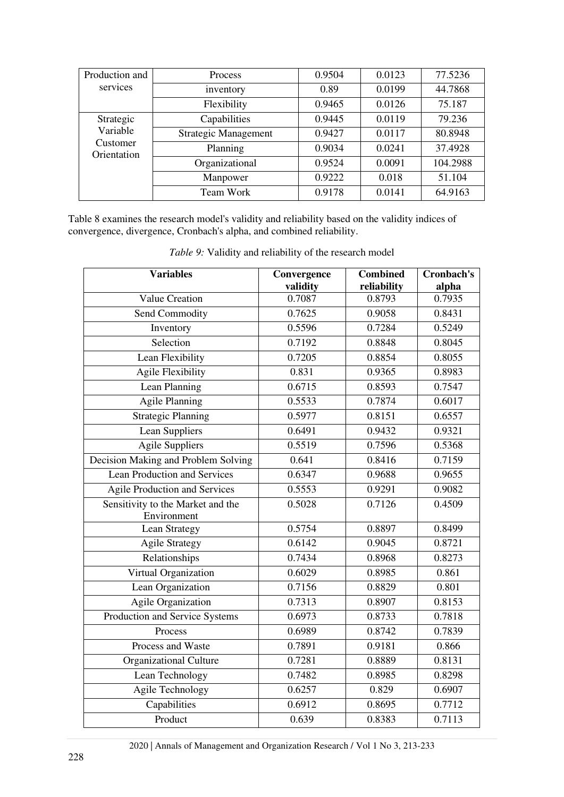| Production and                      | <b>Process</b>              | 0.9504 | 0.0123 | 77.5236  |
|-------------------------------------|-----------------------------|--------|--------|----------|
| services                            | inventory                   | 0.89   | 0.0199 | 44.7868  |
|                                     | Flexibility                 | 0.9465 | 0.0126 | 75.187   |
| Strategic                           | Capabilities                | 0.9445 | 0.0119 | 79.236   |
| Variable<br>Customer<br>Orientation | <b>Strategic Management</b> | 0.9427 | 0.0117 | 80.8948  |
|                                     | Planning                    | 0.9034 | 0.0241 | 37.4928  |
|                                     | Organizational              | 0.9524 | 0.0091 | 104.2988 |
|                                     | Manpower                    | 0.9222 | 0.018  | 51.104   |
|                                     | Team Work                   | 0.9178 | 0.0141 | 64.9163  |

Table 8 examines the research model's validity and reliability based on the validity indices of convergence, divergence, Cronbach's alpha, and combined reliability.

| <b>Variables</b>                                 | Convergence<br>validity | <b>Combined</b><br>reliability | Cronbach's<br>alpha |
|--------------------------------------------------|-------------------------|--------------------------------|---------------------|
| <b>Value Creation</b>                            | 0.7087                  | 0.8793                         | 0.7935              |
| Send Commodity                                   | 0.7625                  | 0.9058                         | 0.8431              |
| Inventory                                        | 0.5596                  | 0.7284                         | 0.5249              |
| Selection                                        | 0.7192                  | 0.8848                         | 0.8045              |
| Lean Flexibility                                 | 0.7205                  | 0.8854                         | 0.8055              |
| <b>Agile Flexibility</b>                         | 0.831                   | 0.9365                         | 0.8983              |
| Lean Planning                                    | 0.6715                  | 0.8593                         | 0.7547              |
| <b>Agile Planning</b>                            | 0.5533                  | 0.7874                         | 0.6017              |
| Strategic Planning                               | 0.5977                  | 0.8151                         | 0.6557              |
| Lean Suppliers                                   | 0.6491                  | 0.9432                         | 0.9321              |
| <b>Agile Suppliers</b>                           | 0.5519                  | 0.7596                         | 0.5368              |
| Decision Making and Problem Solving              | 0.641                   | 0.8416                         | 0.7159              |
| <b>Lean Production and Services</b>              | 0.6347                  | 0.9688                         | 0.9655              |
| <b>Agile Production and Services</b>             | 0.5553                  | 0.9291                         | 0.9082              |
| Sensitivity to the Market and the<br>Environment | 0.5028                  | 0.7126                         | 0.4509              |
| <b>Lean Strategy</b>                             | 0.5754                  | 0.8897                         | 0.8499              |
| <b>Agile Strategy</b>                            | 0.6142                  | 0.9045                         | 0.8721              |
| Relationships                                    | 0.7434                  | 0.8968                         | 0.8273              |
| Virtual Organization                             | 0.6029                  | 0.8985                         | 0.861               |
| Lean Organization                                | 0.7156                  | 0.8829                         | 0.801               |
| <b>Agile Organization</b>                        | 0.7313                  | 0.8907                         | 0.8153              |
| Production and Service Systems                   | 0.6973                  | 0.8733                         | 0.7818              |
| Process                                          | 0.6989                  | 0.8742                         | 0.7839              |
| Process and Waste                                | 0.7891                  | 0.9181                         | 0.866               |
| <b>Organizational Culture</b>                    | 0.7281                  | 0.8889                         | 0.8131              |
| Lean Technology                                  | 0.7482                  | 0.8985                         | 0.8298              |
| Agile Technology                                 | 0.6257                  | 0.829                          | 0.6907              |
| Capabilities                                     | 0.6912                  | 0.8695                         | 0.7712              |
| Product                                          | 0.639                   | 0.8383                         | 0.7113              |

*Table 9:* Validity and reliability of the research model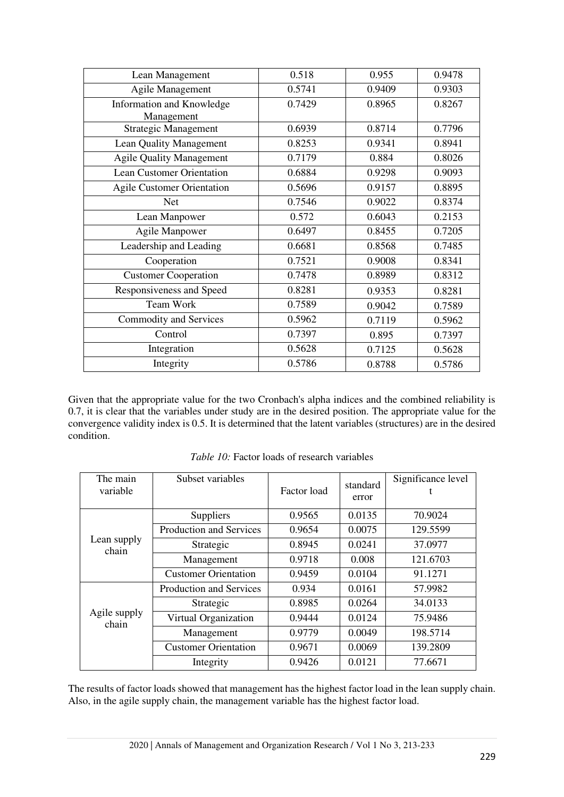| Lean Management                         | 0.518  | 0.955  | 0.9478 |
|-----------------------------------------|--------|--------|--------|
| Agile Management                        | 0.5741 | 0.9409 | 0.9303 |
| Information and Knowledge<br>Management | 0.7429 | 0.8965 | 0.8267 |
| <b>Strategic Management</b>             | 0.6939 | 0.8714 | 0.7796 |
| Lean Quality Management                 | 0.8253 | 0.9341 | 0.8941 |
| <b>Agile Quality Management</b>         | 0.7179 | 0.884  | 0.8026 |
| <b>Lean Customer Orientation</b>        | 0.6884 | 0.9298 | 0.9093 |
| <b>Agile Customer Orientation</b>       | 0.5696 | 0.9157 | 0.8895 |
| <b>Net</b>                              | 0.7546 | 0.9022 | 0.8374 |
| Lean Manpower                           | 0.572  | 0.6043 | 0.2153 |
| <b>Agile Manpower</b>                   | 0.6497 | 0.8455 | 0.7205 |
| Leadership and Leading                  | 0.6681 | 0.8568 | 0.7485 |
| Cooperation                             | 0.7521 | 0.9008 | 0.8341 |
| <b>Customer Cooperation</b>             | 0.7478 | 0.8989 | 0.8312 |
| Responsiveness and Speed                | 0.8281 | 0.9353 | 0.8281 |
| <b>Team Work</b>                        | 0.7589 | 0.9042 | 0.7589 |
| Commodity and Services                  | 0.5962 | 0.7119 | 0.5962 |
| Control                                 | 0.7397 | 0.895  | 0.7397 |
| Integration                             | 0.5628 | 0.7125 | 0.5628 |
| Integrity                               | 0.5786 | 0.8788 | 0.5786 |

Given that the appropriate value for the two Cronbach's alpha indices and the combined reliability is 0.7, it is clear that the variables under study are in the desired position. The appropriate value for the convergence validity index is 0.5. It is determined that the latent variables (structures) are in the desired condition.

| The main<br>variable  | Subset variables               | Factor load | standard<br>error | Significance level |
|-----------------------|--------------------------------|-------------|-------------------|--------------------|
|                       | Suppliers                      | 0.9565      | 0.0135            | 70.9024            |
|                       | <b>Production and Services</b> | 0.9654      | 0.0075            | 129.5599           |
| Lean supply<br>chain  | Strategic                      | 0.8945      | 0.0241            | 37.0977            |
|                       | Management                     | 0.9718      | 0.008             | 121.6703           |
|                       | <b>Customer Orientation</b>    | 0.9459      | 0.0104            | 91.1271            |
|                       | Production and Services        | 0.934       | 0.0161            | 57.9982            |
| Agile supply<br>chain | Strategic                      | 0.8985      | 0.0264            | 34.0133            |
|                       | Virtual Organization           | 0.9444      | 0.0124            | 75.9486            |
|                       | Management                     | 0.9779      | 0.0049            | 198.5714           |
|                       | <b>Customer Orientation</b>    | 0.9671      | 0.0069            | 139.2809           |
|                       | Integrity                      | 0.9426      | 0.0121            | 77.6671            |

*Table 10:* Factor loads of research variables

The results of factor loads showed that management has the highest factor load in the lean supply chain. Also, in the agile supply chain, the management variable has the highest factor load.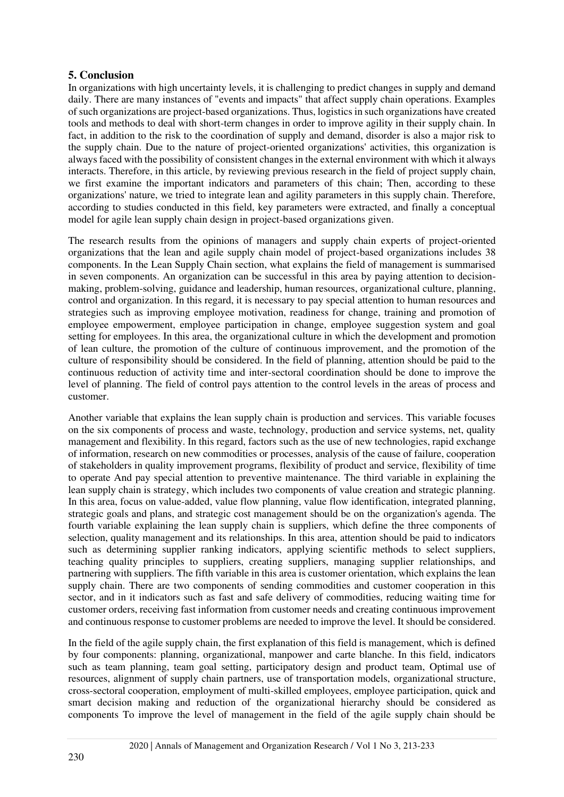# **5. Conclusion**

In organizations with high uncertainty levels, it is challenging to predict changes in supply and demand daily. There are many instances of "events and impacts" that affect supply chain operations. Examples of such organizations are project-based organizations. Thus, logistics in such organizations have created tools and methods to deal with short-term changes in order to improve agility in their supply chain. In fact, in addition to the risk to the coordination of supply and demand, disorder is also a major risk to the supply chain. Due to the nature of project-oriented organizations' activities, this organization is always faced with the possibility of consistent changes in the external environment with which it always interacts. Therefore, in this article, by reviewing previous research in the field of project supply chain, we first examine the important indicators and parameters of this chain; Then, according to these organizations' nature, we tried to integrate lean and agility parameters in this supply chain. Therefore, according to studies conducted in this field, key parameters were extracted, and finally a conceptual model for agile lean supply chain design in project-based organizations given.

The research results from the opinions of managers and supply chain experts of project-oriented organizations that the lean and agile supply chain model of project-based organizations includes 38 components. In the Lean Supply Chain section, what explains the field of management is summarised in seven components. An organization can be successful in this area by paying attention to decisionmaking, problem-solving, guidance and leadership, human resources, organizational culture, planning, control and organization. In this regard, it is necessary to pay special attention to human resources and strategies such as improving employee motivation, readiness for change, training and promotion of employee empowerment, employee participation in change, employee suggestion system and goal setting for employees. In this area, the organizational culture in which the development and promotion of lean culture, the promotion of the culture of continuous improvement, and the promotion of the culture of responsibility should be considered. In the field of planning, attention should be paid to the continuous reduction of activity time and inter-sectoral coordination should be done to improve the level of planning. The field of control pays attention to the control levels in the areas of process and customer.

Another variable that explains the lean supply chain is production and services. This variable focuses on the six components of process and waste, technology, production and service systems, net, quality management and flexibility. In this regard, factors such as the use of new technologies, rapid exchange of information, research on new commodities or processes, analysis of the cause of failure, cooperation of stakeholders in quality improvement programs, flexibility of product and service, flexibility of time to operate And pay special attention to preventive maintenance. The third variable in explaining the lean supply chain is strategy, which includes two components of value creation and strategic planning. In this area, focus on value-added, value flow planning, value flow identification, integrated planning, strategic goals and plans, and strategic cost management should be on the organization's agenda. The fourth variable explaining the lean supply chain is suppliers, which define the three components of selection, quality management and its relationships. In this area, attention should be paid to indicators such as determining supplier ranking indicators, applying scientific methods to select suppliers, teaching quality principles to suppliers, creating suppliers, managing supplier relationships, and partnering with suppliers. The fifth variable in this area is customer orientation, which explains the lean supply chain. There are two components of sending commodities and customer cooperation in this sector, and in it indicators such as fast and safe delivery of commodities, reducing waiting time for customer orders, receiving fast information from customer needs and creating continuous improvement and continuous response to customer problems are needed to improve the level. It should be considered.

In the field of the agile supply chain, the first explanation of this field is management, which is defined by four components: planning, organizational, manpower and carte blanche. In this field, indicators such as team planning, team goal setting, participatory design and product team, Optimal use of resources, alignment of supply chain partners, use of transportation models, organizational structure, cross-sectoral cooperation, employment of multi-skilled employees, employee participation, quick and smart decision making and reduction of the organizational hierarchy should be considered as components To improve the level of management in the field of the agile supply chain should be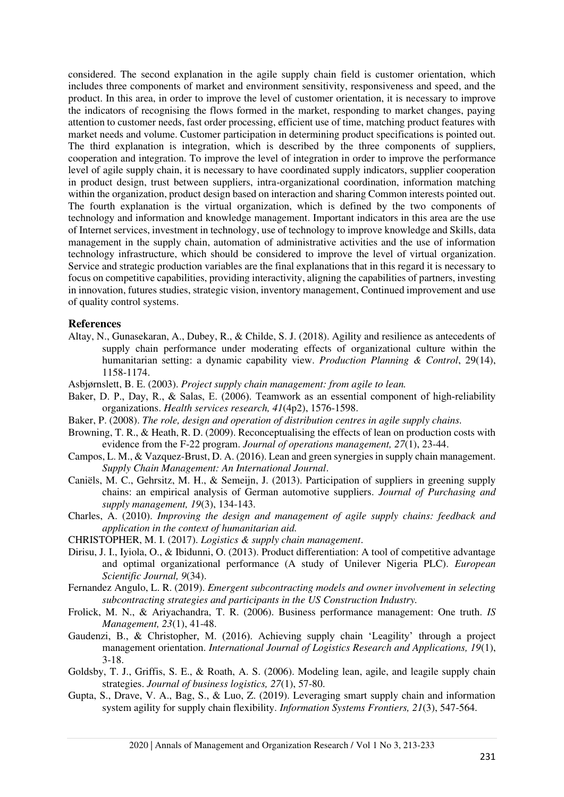considered. The second explanation in the agile supply chain field is customer orientation, which includes three components of market and environment sensitivity, responsiveness and speed, and the product. In this area, in order to improve the level of customer orientation, it is necessary to improve the indicators of recognising the flows formed in the market, responding to market changes, paying attention to customer needs, fast order processing, efficient use of time, matching product features with market needs and volume. Customer participation in determining product specifications is pointed out. The third explanation is integration, which is described by the three components of suppliers, cooperation and integration. To improve the level of integration in order to improve the performance level of agile supply chain, it is necessary to have coordinated supply indicators, supplier cooperation in product design, trust between suppliers, intra-organizational coordination, information matching within the organization, product design based on interaction and sharing Common interests pointed out. The fourth explanation is the virtual organization, which is defined by the two components of technology and information and knowledge management. Important indicators in this area are the use of Internet services, investment in technology, use of technology to improve knowledge and Skills, data management in the supply chain, automation of administrative activities and the use of information technology infrastructure, which should be considered to improve the level of virtual organization. Service and strategic production variables are the final explanations that in this regard it is necessary to focus on competitive capabilities, providing interactivity, aligning the capabilities of partners, investing in innovation, futures studies, strategic vision, inventory management, Continued improvement and use of quality control systems.

#### **References**

- <span id="page-18-4"></span>Altay, N., Gunasekaran, A., Dubey, R., & Childe, S. J. (2018). Agility and resilience as antecedents of supply chain performance under moderating effects of organizational culture within the humanitarian setting: a dynamic capability view. *Production Planning & Control*, 29(14), 1158-1174.
- <span id="page-18-5"></span>Asbjørnslett, B. E. (2003). *Project supply chain management: from agile to lean.*
- <span id="page-18-8"></span>Baker, D. P., Day, R., & Salas, E. (2006). Teamwork as an essential component of high-reliability organizations. *Health services research, 41*(4p2), 1576-1598.
- <span id="page-18-14"></span>Baker, P. (2008). *The role, design and operation of distribution centres in agile supply chains.*
- <span id="page-18-2"></span>Browning, T. R., & Heath, R. D. (2009). Reconceptualising the effects of lean on production costs with evidence from the F-22 program. *Journal of operations management, 27*(1), 23-44.
- <span id="page-18-10"></span>Campos, L. M., & Vazquez-Brust, D. A. (2016). Lean and green synergies in supply chain management. *Supply Chain Management: An International Journal*.
- <span id="page-18-1"></span>Caniëls, M. C., Gehrsitz, M. H., & Semeijn, J. (2013). Participation of suppliers in greening supply chains: an empirical analysis of German automotive suppliers. *Journal of Purchasing and supply management, 19*(3), 134-143.
- <span id="page-18-3"></span>Charles, A. (2010). *Improving the design and management of agile supply chains: feedback and application in the context of humanitarian aid.*
- <span id="page-18-9"></span>CHRISTOPHER, M. I. (2017). *Logistics & supply chain management*.
- <span id="page-18-7"></span>Dirisu, J. I., Iyiola, O., & Ibidunni, O. (2013). Product differentiation: A tool of competitive advantage and optimal organizational performance (A study of Unilever Nigeria PLC). *European Scientific Journal, 9*(34).
- <span id="page-18-12"></span>Fernandez Angulo, L. R. (2019). *Emergent subcontracting models and owner involvement in selecting subcontracting strategies and participants in the US Construction Industry.*
- <span id="page-18-11"></span>Frolick, M. N., & Ariyachandra, T. R. (2006). Business performance management: One truth. *IS Management, 23*(1), 41-48.
- <span id="page-18-0"></span>Gaudenzi, B., & Christopher, M. (2016). Achieving supply chain 'Leagility' through a project management orientation. *International Journal of Logistics Research and Applications, 19*(1), 3-18.
- <span id="page-18-6"></span>Goldsby, T. J., Griffis, S. E., & Roath, A. S. (2006). Modeling lean, agile, and leagile supply chain strategies. *Journal of business logistics, 27*(1), 57-80.
- <span id="page-18-13"></span>Gupta, S., Drave, V. A., Bag, S., & Luo, Z. (2019). Leveraging smart supply chain and information system agility for supply chain flexibility. *Information Systems Frontiers, 21*(3), 547-564.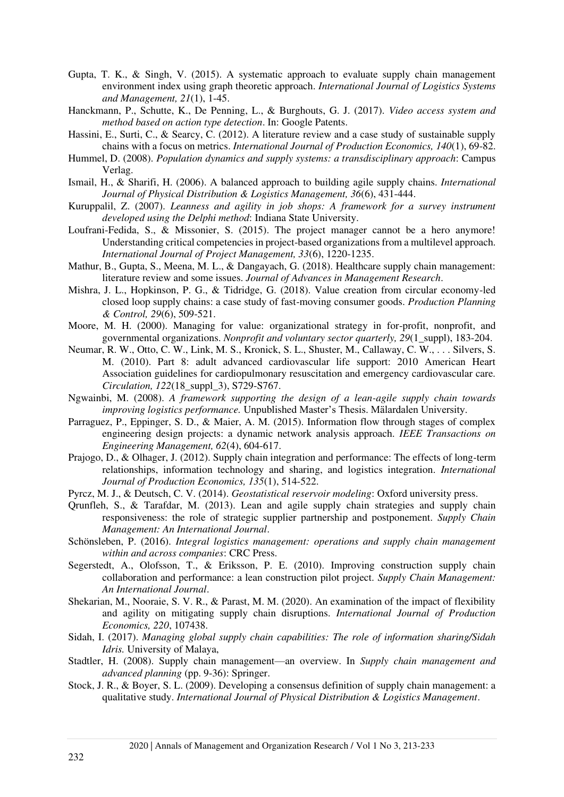- <span id="page-19-14"></span>Gupta, T. K., & Singh, V. (2015). A systematic approach to evaluate supply chain management environment index using graph theoretic approach. *International Journal of Logistics Systems and Management, 21*(1), 1-45.
- <span id="page-19-5"></span>Hanckmann, P., Schutte, K., De Penning, L., & Burghouts, G. J. (2017). *Video access system and method based on action type detection*. In: Google Patents.
- <span id="page-19-21"></span>Hassini, E., Surti, C., & Searcy, C. (2012). A literature review and a case study of sustainable supply chains with a focus on metrics. *International Journal of Production Economics, 140*(1), 69-82.
- <span id="page-19-4"></span>Hummel, D. (2008). *Population dynamics and supply systems: a transdisciplinary approach*: Campus Verlag.
- <span id="page-19-9"></span>Ismail, H., & Sharifi, H. (2006). A balanced approach to building agile supply chains. *International Journal of Physical Distribution & Logistics Management, 36*(6), 431-444.
- <span id="page-19-2"></span>Kuruppalil, Z. (2007). *Leanness and agility in job shops: A framework for a survey instrument developed using the Delphi method*: Indiana State University.
- <span id="page-19-1"></span>Loufrani-Fedida, S., & Missonier, S. (2015). The project manager cannot be a hero anymore! Understanding critical competencies in project-based organizations from a multilevel approach. *International Journal of Project Management, 33*(6), 1220-1235.
- <span id="page-19-10"></span>Mathur, B., Gupta, S., Meena, M. L., & Dangayach, G. (2018). Healthcare supply chain management: literature review and some issues. *Journal of Advances in Management Research*.
- <span id="page-19-11"></span>Mishra, J. L., Hopkinson, P. G., & Tidridge, G. (2018). Value creation from circular economy-led closed loop supply chains: a case study of fast-moving consumer goods. *Production Planning & Control, 29*(6), 509-521.
- <span id="page-19-6"></span>Moore, M. H. (2000). Managing for value: organizational strategy in for-profit, nonprofit, and governmental organizations. *Nonprofit and voluntary sector quarterly, 29*(1\_suppl), 183-204.
- <span id="page-19-7"></span>Neumar, R. W., Otto, C. W., Link, M. S., Kronick, S. L., Shuster, M., Callaway, C. W., . . . Silvers, S. M. (2010). Part 8: adult advanced cardiovascular life support: 2010 American Heart Association guidelines for cardiopulmonary resuscitation and emergency cardiovascular care. *Circulation, 122*(18\_suppl\_3), S729-S767.
- <span id="page-19-3"></span>Ngwainbi, M. (2008). *A framework supporting the design of a lean-agile supply chain towards improving logistics performance.* Unpublished Master's Thesis. Mälardalen University.
- <span id="page-19-17"></span>Parraguez, P., Eppinger, S. D., & Maier, A. M. (2015). Information flow through stages of complex engineering design projects: a dynamic network analysis approach. *IEEE Transactions on Engineering Management, 62*(4), 604-617.
- <span id="page-19-19"></span>Prajogo, D., & Olhager, J. (2012). Supply chain integration and performance: The effects of long-term relationships, information technology and sharing, and logistics integration. *International Journal of Production Economics, 135*(1), 514-522.
- <span id="page-19-16"></span>Pyrcz, M. J., & Deutsch, C. V. (2014). *Geostatistical reservoir modeling*: Oxford university press.
- <span id="page-19-13"></span>Qrunfleh, S., & Tarafdar, M. (2013). Lean and agile supply chain strategies and supply chain responsiveness: the role of strategic supplier partnership and postponement. *Supply Chain Management: An International Journal*.
- <span id="page-19-15"></span>Schönsleben, P. (2016). *Integral logistics management: operations and supply chain management within and across companies*: CRC Press.
- <span id="page-19-20"></span>Segerstedt, A., Olofsson, T., & Eriksson, P. E. (2010). Improving construction supply chain collaboration and performance: a lean construction pilot project. *Supply Chain Management: An International Journal*.
- <span id="page-19-12"></span>Shekarian, M., Nooraie, S. V. R., & Parast, M. M. (2020). An examination of the impact of flexibility and agility on mitigating supply chain disruptions. *International Journal of Production Economics, 220*, 107438.
- <span id="page-19-8"></span>Sidah, I. (2017). *Managing global supply chain capabilities: The role of information sharing/Sidah Idris.* University of Malaya,
- <span id="page-19-18"></span>Stadtler, H. (2008). Supply chain management—an overview. In *Supply chain management and advanced planning* (pp. 9-36): Springer.
- <span id="page-19-0"></span>Stock, J. R., & Boyer, S. L. (2009). Developing a consensus definition of supply chain management: a qualitative study. *International Journal of Physical Distribution & Logistics Management*.